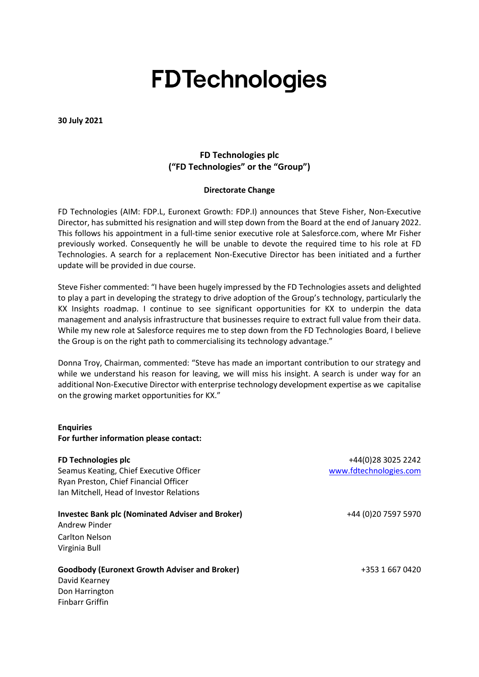# **FDTechnologies**

**30 July 2021**

## **FD Technologies plc ("FD Technologies" or the "Group")**

### **Directorate Change**

FD Technologies (AIM: FDP.L, Euronext Growth: FDP.I) announces that Steve Fisher, Non-Executive Director, has submitted his resignation and will step down from the Board at the end of January 2022. This follows his appointment in a full-time senior executive role at Salesforce.com, where Mr Fisher previously worked. Consequently he will be unable to devote the required time to his role at FD Technologies. A search for a replacement Non-Executive Director has been initiated and a further update will be provided in due course.

Steve Fisher commented: "I have been hugely impressed by the FD Technologies assets and delighted to play a part in developing the strategy to drive adoption of the Group's technology, particularly the KX Insights roadmap. I continue to see significant opportunities for KX to underpin the data management and analysis infrastructure that businesses require to extract full value from their data. While my new role at Salesforce requires me to step down from the FD Technologies Board, I believe the Group is on the right path to commercialising its technology advantage."

Donna Troy, Chairman, commented: "Steve has made an important contribution to our strategy and while we understand his reason for leaving, we will miss his insight. A search is under way for an additional Non-Executive Director with enterprise technology development expertise as we capitalise on the growing market opportunities for KX."

#### **Enquiries**

**For further information please contact:**

### **FD Technologies plc**

Seamus Keating, Chief Executive Officer Ryan Preston, Chief Financial Officer Ian Mitchell, Head of Investor Relations

### **Investec Bank plc (Nominated Adviser and Broker)**

Andrew Pinder Carlton Nelson Virginia Bull

### **Goodbody (Euronext Growth Adviser and Broker)**

David Kearney Don Harrington Finbarr Griffin

+44(0)28 3025 2242 [www.fdtechnologies.com](http://www.firstderivatives.com/)

+44 (0)20 7597 5970

+353 1 667 0420